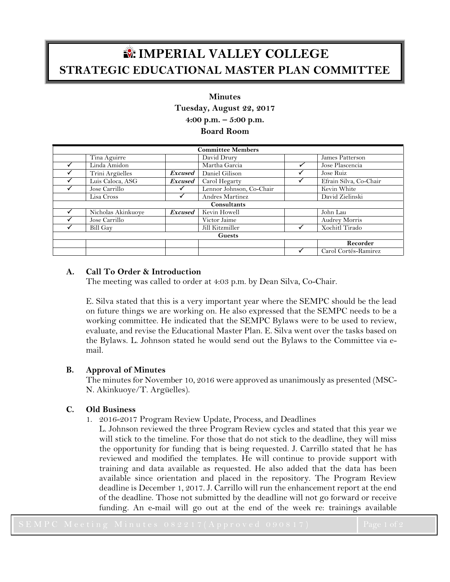# **IMPERIAL VALLEY COLLEGE STRATEGIC EDUCATIONAL MASTER PLAN COMMITTEE**

# **Minutes**

**Tuesday, August 22, 2017**

**4:00 p.m. – 5:00 p.m.**

**Board Room**

| <b>Committee Members</b> |                    |                |                          |  |                        |
|--------------------------|--------------------|----------------|--------------------------|--|------------------------|
|                          | Tina Aguirre       |                | David Drury              |  | James Patterson        |
|                          | Linda Amidon       |                | Martha Garcia            |  | Jose Plascencia        |
|                          | Trini Argüelles    | <b>Excused</b> | Daniel Gilison           |  | Jose Ruiz              |
|                          | Luis Caloca, ASG   | <b>Excused</b> | Carol Hegarty            |  | Efrain Silva, Co-Chair |
|                          | Jose Carrillo      |                | Lennor Johnson, Co-Chair |  | Kevin White            |
|                          | Lisa Cross         |                | Andres Martinez          |  | David Zielinski        |
| Consultants              |                    |                |                          |  |                        |
|                          | Nicholas Akinkuoye | <b>Excused</b> | Kevin Howell             |  | John Lau               |
|                          | Jose Carrillo      |                | Victor Jaime             |  | <b>Audrey Morris</b>   |
|                          | <b>Bill Gay</b>    |                | Jill Kitzmiller          |  | Xochitl Tirado         |
| <b>Guests</b>            |                    |                |                          |  |                        |
|                          |                    |                |                          |  | Recorder               |
|                          |                    |                |                          |  | Carol Cortés-Ramirez   |

## **A. Call To Order & Introduction**

The meeting was called to order at 4:03 p.m. by Dean Silva, Co-Chair.

E. Silva stated that this is a very important year where the SEMPC should be the lead on future things we are working on. He also expressed that the SEMPC needs to be a working committee. He indicated that the SEMPC Bylaws were to be used to review, evaluate, and revise the Educational Master Plan. E. Silva went over the tasks based on the Bylaws. L. Johnson stated he would send out the Bylaws to the Committee via email.

## **B. Approval of Minutes**

The minutes for November 10, 2016 were approved as unanimously as presented (MSC-N. Akinkuoye/T. Argüelles).

## **C. Old Business**

- 1. 2016-2017 Program Review Update, Process, and Deadlines
	- L. Johnson reviewed the three Program Review cycles and stated that this year we will stick to the timeline. For those that do not stick to the deadline, they will miss the opportunity for funding that is being requested. J. Carrillo stated that he has reviewed and modified the templates. He will continue to provide support with training and data available as requested. He also added that the data has been available since orientation and placed in the repository. The Program Review deadline is December 1, 2017. J. Carrillo will run the enhancement report at the end of the deadline. Those not submitted by the deadline will not go forward or receive funding. An e-mail will go out at the end of the week re: trainings available